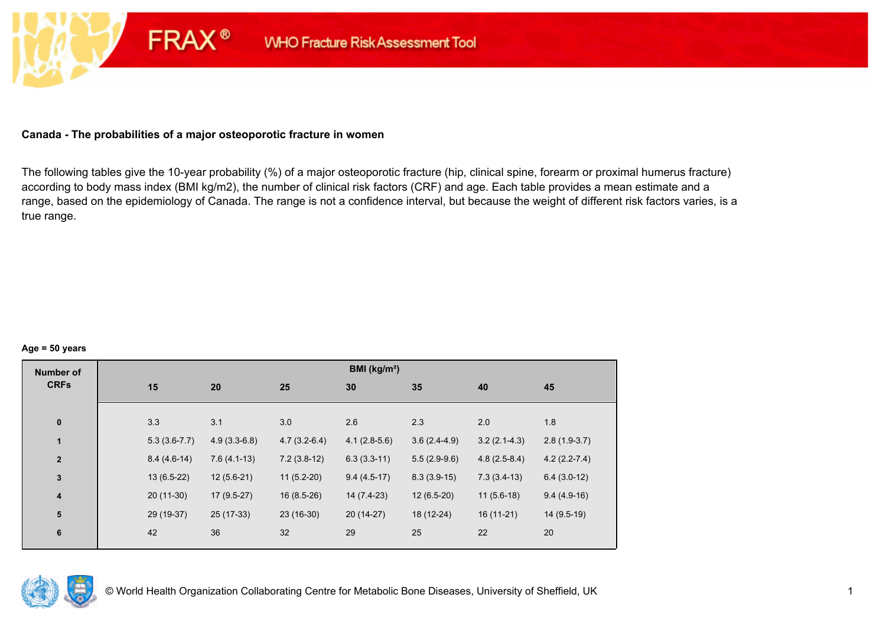## **Canada - The probabilities of a major osteoporotic fracture in women**

**FRAX®** 

The following tables give the 10-year probability (%) of a major osteoporotic fracture (hip, clinical spine, forearm or proximal humerus fracture) according to body mass index (BMI kg/m2), the number of clinical risk factors (CRF) and age. Each table provides a mean estimate and a range, based on the epidemiology of Canada. The range is not a confidence interval, but because the weight of different risk factors varies, is a true range.

#### **Age = 50 years**

| <b>Number of</b> |     |                |                |                | BMI (kg/m <sup>2</sup> ) |                |                |                |
|------------------|-----|----------------|----------------|----------------|--------------------------|----------------|----------------|----------------|
| <b>CRFs</b>      | 15  |                | 20             | 25             | 30                       | 35             | 40             | 45             |
|                  |     |                |                |                |                          |                |                |                |
| $\pmb{0}$        | 3.3 |                | 3.1            | 3.0            | 2.6                      | 2.3            | 2.0            | 1.8            |
| 1                |     | $5.3(3.6-7.7)$ | $4.9(3.3-6.8)$ | $4.7(3.2-6.4)$ | $4.1(2.8-5.6)$           | $3.6(2.4-4.9)$ | $3.2(2.1-4.3)$ | $2.8(1.9-3.7)$ |
| $\mathbf{2}$     |     | $8.4(4.6-14)$  | $7.6(4.1-13)$  | $7.2(3.8-12)$  | $6.3(3.3-11)$            | $5.5(2.9-9.6)$ | $4.8(2.5-8.4)$ | $4.2(2.2-7.4)$ |
| $\mathbf{3}$     |     | $13(6.5-22)$   | $12(5.6-21)$   | $11(5.2-20)$   | $9.4(4.5-17)$            | $8.3(3.9-15)$  | $7.3(3.4-13)$  | $6.4(3.0-12)$  |
| $\boldsymbol{4}$ |     | $20(11-30)$    | $17(9.5-27)$   | $16(8.5-26)$   | 14 (7.4-23)              | $12(6.5-20)$   | $11(5.6-18)$   | $9.4(4.9-16)$  |
| 5                |     | 29 (19-37)     | 25 (17-33)     | 23 (16-30)     | $20(14-27)$              | 18 (12-24)     | $16(11-21)$    | 14 (9.5-19)    |
| $\bf 6$          | 42  |                | 36             | 32             | 29                       | 25             | 22             | 20             |
|                  |     |                |                |                |                          |                |                |                |

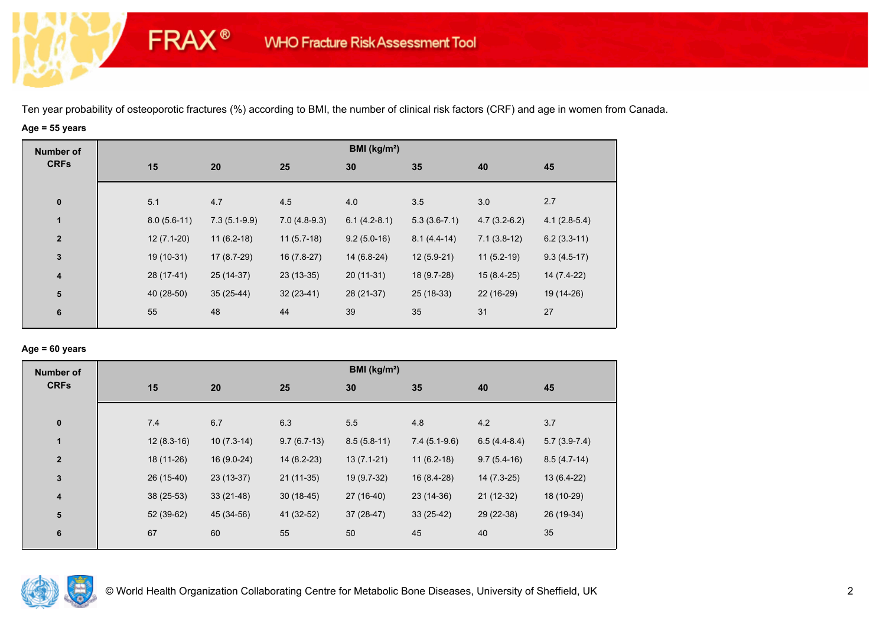# **Age = 55 years**

**FRAX®** 

| <b>Number of</b> |               |                |                | BMI ( $kg/m2$ ) |                |                |                |
|------------------|---------------|----------------|----------------|-----------------|----------------|----------------|----------------|
| <b>CRFs</b>      | 15            | 20             | 25             | 30              | 35             | 40             | 45             |
| $\bf{0}$         | 5.1           | 4.7            | 4.5            | 4.0             | 3.5            | 3.0            | 2.7            |
| 1                | $8.0(5.6-11)$ | $7.3(5.1-9.9)$ | $7.0(4.8-9.3)$ | $6.1(4.2-8.1)$  | $5.3(3.6-7.1)$ | $4.7(3.2-6.2)$ | $4.1(2.8-5.4)$ |
| $\mathbf{2}$     | $12(7.1-20)$  | $11(6.2-18)$   | $11(5.7-18)$   | $9.2(5.0-16)$   | $8.1(4.4-14)$  | $7.1(3.8-12)$  | $6.2(3.3-11)$  |
| $\mathbf{3}$     | 19 (10-31)    | 17 (8.7-29)    | $16(7.8-27)$   | $14(6.8-24)$    | $12(5.9-21)$   | $11(5.2-19)$   | $9.3(4.5-17)$  |
| 4                | 28 (17-41)    | 25 (14-37)     | $23(13-35)$    | $20(11-31)$     | 18 (9.7-28)    | $15(8.4-25)$   | 14 (7.4-22)    |
| 5                | 40 (28-50)    | $35(25-44)$    | $32(23-41)$    | 28 (21-37)      | 25 (18-33)     | 22 (16-29)     | 19 (14-26)     |
| 6                | 55            | 48             | 44             | 39              | 35             | 31             | 27             |
|                  |               |                |                |                 |                |                |                |

## **Age = 60 years**

| <b>Number of</b>        |              |              |               | BMI (kg/m <sup>2</sup> ) |                |                |                |
|-------------------------|--------------|--------------|---------------|--------------------------|----------------|----------------|----------------|
| <b>CRFs</b>             | 15           | 20           | 25            | 30                       | 35             | 40             | 45             |
| $\pmb{0}$               | 7.4          | 6.7          | 6.3           | 5.5                      | 4.8            | 4.2            | 3.7            |
| $\mathbf{1}$            | $12(8.3-16)$ | $10(7.3-14)$ | $9.7(6.7-13)$ | $8.5(5.8-11)$            | $7.4(5.1-9.6)$ | $6.5(4.4-8.4)$ | $5.7(3.9-7.4)$ |
| $\mathbf{2}$            | 18 (11-26)   | $16(9.0-24)$ | $14(8.2-23)$  | $13(7.1-21)$             | $11(6.2-18)$   | $9.7(5.4-16)$  | $8.5(4.7-14)$  |
| $\mathbf 3$             | 26 (15-40)   | 23 (13-37)   | $21(11-35)$   | 19 (9.7-32)              | 16 (8.4-28)    | 14 (7.3-25)    | $13(6.4-22)$   |
| $\overline{\mathbf{4}}$ | $38(25-53)$  | $33(21-48)$  | $30(18-45)$   | 27 (16-40)               | 23 (14-36)     | 21 (12-32)     | 18 (10-29)     |
| 5                       | 52 (39-62)   | 45 (34-56)   | 41 (32-52)    | $37(28-47)$              | $33(25-42)$    | 29 (22-38)     | 26 (19-34)     |
| 6                       | 67           | 60           | 55            | 50                       | 45             | 40             | 35             |

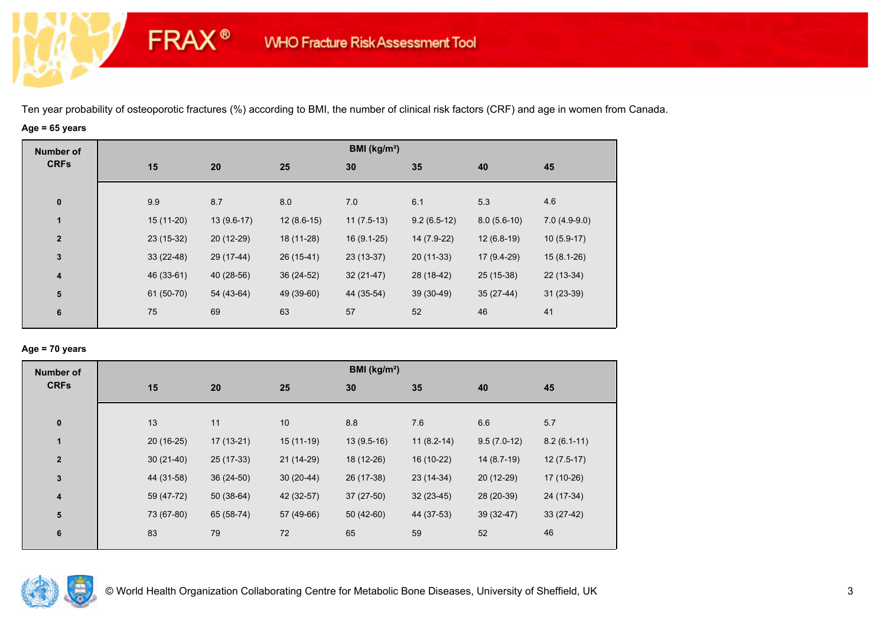# **Age = 65 years**

**FRAX®** 

| <b>Number of</b>        |             |              |              | BMI (kg/m <sup>2</sup> ) |               |               |                |
|-------------------------|-------------|--------------|--------------|--------------------------|---------------|---------------|----------------|
| <b>CRFs</b>             | 15          | 20           | 25           | 30                       | 35            | 40            | 45             |
|                         |             |              |              |                          |               |               |                |
| $\pmb{0}$               | 9.9         | 8.7          | 8.0          | 7.0                      | 6.1           | 5.3           | 4.6            |
| $\mathbf{1}$            | $15(11-20)$ | $13(9.6-17)$ | $12(8.6-15)$ | $11(7.5-13)$             | $9.2(6.5-12)$ | $8.0(5.6-10)$ | $7.0(4.9-9.0)$ |
| $\overline{2}$          | 23 (15-32)  | $20(12-29)$  | 18 (11-28)   | $16(9.1-25)$             | 14 (7.9-22)   | $12(6.8-19)$  | $10(5.9-17)$   |
| $\mathbf{3}$            | $33(22-48)$ | 29 (17-44)   | $26(15-41)$  | $23(13-37)$              | $20(11-33)$   | 17 (9.4-29)   | $15(8.1-26)$   |
| $\overline{\mathbf{4}}$ | 46 (33-61)  | 40 (28-56)   | $36(24-52)$  | $32(21-47)$              | 28 (18-42)    | 25 (15-38)    | $22(13-34)$    |
| ${\bf 5}$               | 61 (50-70)  | 54 (43-64)   | 49 (39-60)   | 44 (35-54)               | $39(30-49)$   | $35(27-44)$   | $31(23-39)$    |
| 6                       | 75          | 69           | 63           | 57                       | 52            | 46            | 41             |
|                         |             |              |              |                          |               |               |                |

## **Age = 70 years**

| <b>Number of</b>        |             |             |             | BMI (kg/m <sup>2</sup> ) |              |               |               |
|-------------------------|-------------|-------------|-------------|--------------------------|--------------|---------------|---------------|
| <b>CRFs</b>             | 15          | 20          | 25          | 30                       | 35           | 40            | 45            |
| $\pmb{0}$               | 13          | 11          | 10          | 8.8                      | 7.6          | 6.6           | 5.7           |
| 1                       | $20(16-25)$ | $17(13-21)$ | $15(11-19)$ | $13(9.5-16)$             | $11(8.2-14)$ | $9.5(7.0-12)$ | $8.2(6.1-11)$ |
| $\overline{\mathbf{2}}$ | $30(21-40)$ | 25 (17-33)  | $21(14-29)$ | 18 (12-26)               | 16 (10-22)   | $14(8.7-19)$  | $12(7.5-17)$  |
| $\mathbf 3$             | 44 (31-58)  | $36(24-50)$ | $30(20-44)$ | 26 (17-38)               | 23 (14-34)   | 20 (12-29)    | 17 (10-26)    |
| $\overline{\mathbf{4}}$ | 59 (47-72)  | $50(38-64)$ | 42 (32-57)  | $37(27-50)$              | $32(23-45)$  | 28 (20-39)    | 24 (17-34)    |
| ${\bf 5}$               | 73 (67-80)  | 65 (58-74)  | 57 (49-66)  | $50(42-60)$              | 44 (37-53)   | $39(32-47)$   | $33(27-42)$   |
| 6                       | 83          | 79          | 72          | 65                       | 59           | 52            | 46            |

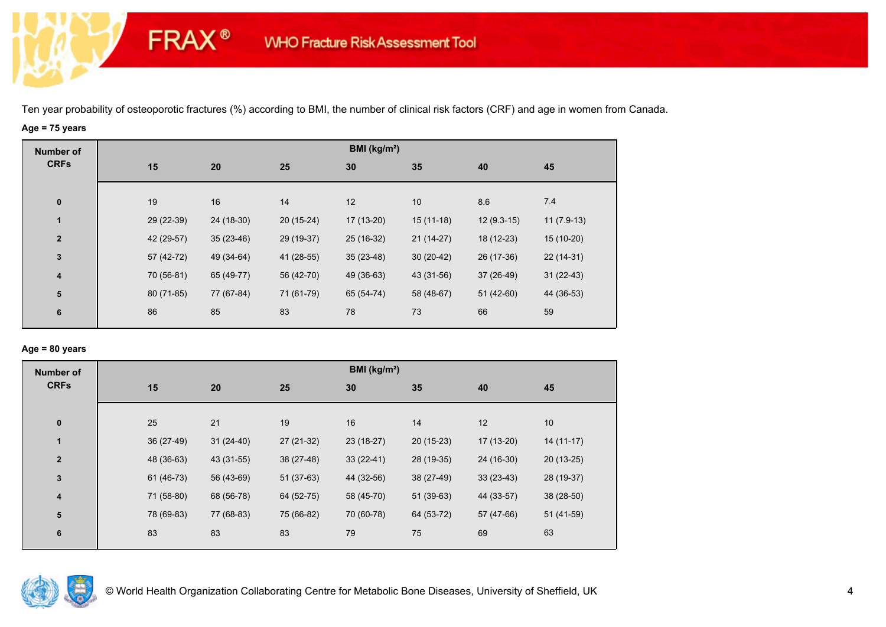# **Age = 75 years**

**FRAX®** 

| <b>Number of</b>        |            |             |             | BMI (kg/m <sup>2</sup> ) |             |              |              |
|-------------------------|------------|-------------|-------------|--------------------------|-------------|--------------|--------------|
| <b>CRFs</b>             | 15         | 20          | 25          | 30                       | 35          | 40           | 45           |
|                         |            |             |             |                          |             |              |              |
| $\bf{0}$                | 19         | 16          | 14          | 12                       | 10          | 8.6          | 7.4          |
| 1                       | 29 (22-39) | 24 (18-30)  | $20(15-24)$ | 17 (13-20)               | $15(11-18)$ | $12(9.3-15)$ | $11(7.9-13)$ |
| $\overline{\mathbf{2}}$ | 42 (29-57) | $35(23-46)$ | 29 (19-37)  | 25 (16-32)               | $21(14-27)$ | 18 (12-23)   | $15(10-20)$  |
| $\mathbf{3}$            | 57 (42-72) | 49 (34-64)  | 41 (28-55)  | $35(23-48)$              | $30(20-42)$ | 26 (17-36)   | $22(14-31)$  |
| $\overline{\mathbf{4}}$ | 70 (56-81) | 65 (49-77)  | 56 (42-70)  | 49 (36-63)               | 43 (31-56)  | 37 (26-49)   | $31(22-43)$  |
| 5                       | 80 (71-85) | 77 (67-84)  | 71 (61-79)  | 65 (54-74)               | 58 (48-67)  | $51(42-60)$  | 44 (36-53)   |
| 6                       | 86         | 85          | 83          | 78                       | 73          | 66           | 59           |
|                         |            |             |             |                          |             |              |              |

## **Age = 80 years**

| <b>Number of</b> |            |             |             | BMI (kg/m <sup>2</sup> ) |             |             |             |  |
|------------------|------------|-------------|-------------|--------------------------|-------------|-------------|-------------|--|
| <b>CRFs</b>      | 15         | 20          | 25          | 30                       | 35          | 40          | 45          |  |
|                  |            |             |             |                          |             |             |             |  |
| $\pmb{0}$        | 25         | 21          | 19          | 16                       | 14          | 12          | 10          |  |
| 1                | 36 (27-49) | $31(24-40)$ | 27 (21-32)  | $23(18-27)$              | $20(15-23)$ | 17 (13-20)  | $14(11-17)$ |  |
| $\mathbf{2}$     | 48 (36-63) | 43 (31-55)  | 38 (27-48)  | $33(22-41)$              | 28 (19-35)  | 24 (16-30)  | $20(13-25)$ |  |
| 3                | 61 (46-73) | 56 (43-69)  | $51(37-63)$ | 44 (32-56)               | 38 (27-49)  | $33(23-43)$ | 28 (19-37)  |  |
| 4                | 71 (58-80) | 68 (56-78)  | 64 (52-75)  | 58 (45-70)               | $51(39-63)$ | 44 (33-57)  | 38 (28-50)  |  |
| ${\bf 5}$        | 78 (69-83) | 77 (68-83)  | 75 (66-82)  | 70 (60-78)               | 64 (53-72)  | 57 (47-66)  | 51 (41-59)  |  |
| 6                | 83         | 83          | 83          | 79                       | 75          | 69          | 63          |  |